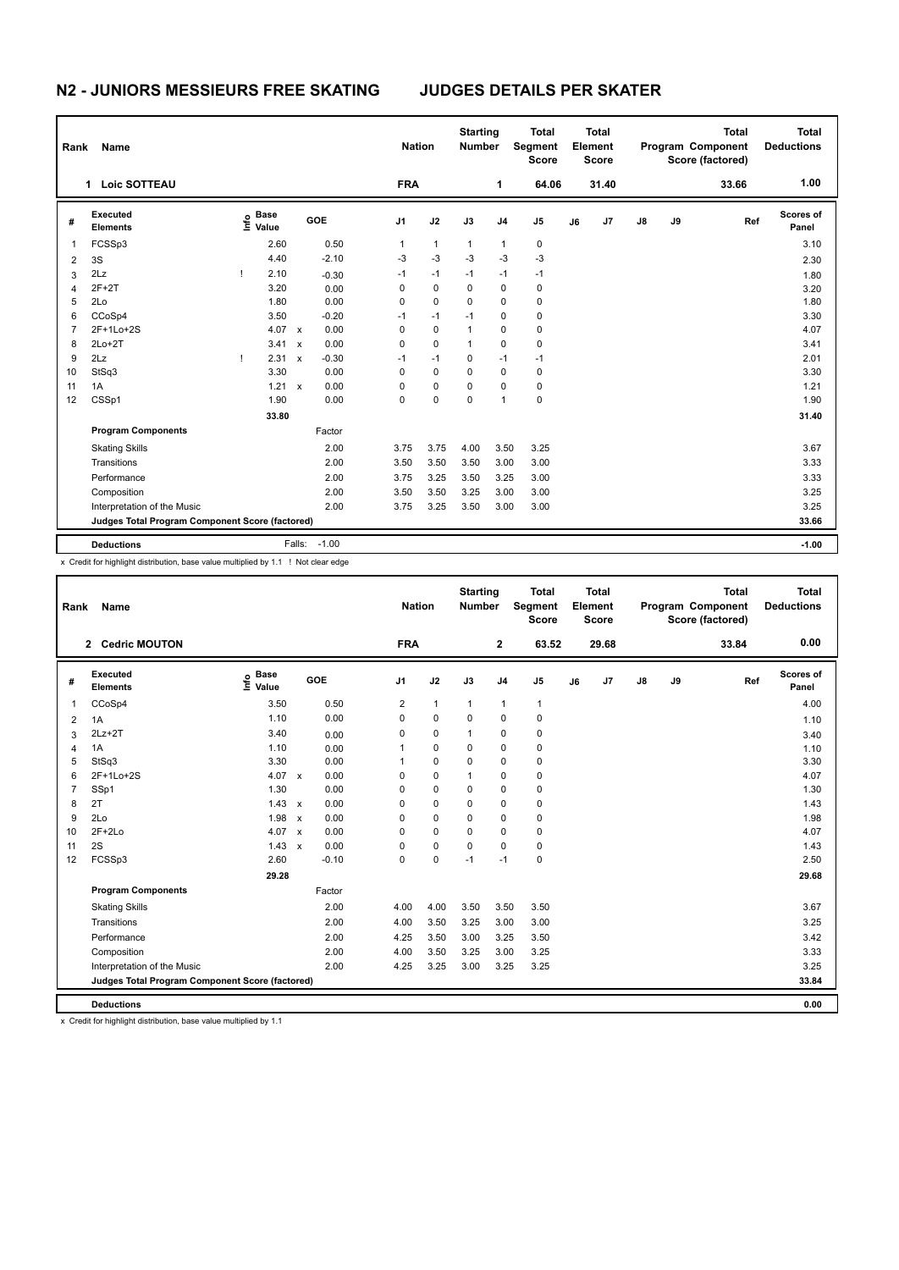## **N2 - JUNIORS MESSIEURS FREE SKATING JUDGES DETAILS PER SKATER**

| Rank           | Name                                            |    |                   |                           |            |                | <b>Nation</b> | <b>Starting</b><br><b>Number</b> |                | <b>Total</b><br>Segment<br><b>Score</b> |    | <b>Total</b><br>Element<br><b>Score</b> |    |    | <b>Total</b><br>Program Component<br>Score (factored) | <b>Total</b><br><b>Deductions</b> |
|----------------|-------------------------------------------------|----|-------------------|---------------------------|------------|----------------|---------------|----------------------------------|----------------|-----------------------------------------|----|-----------------------------------------|----|----|-------------------------------------------------------|-----------------------------------|
|                | <b>Loic SOTTEAU</b><br>1                        |    |                   |                           |            | <b>FRA</b>     |               |                                  | 1              | 64.06                                   |    | 31.40                                   |    |    | 33.66                                                 | 1.00                              |
| #              | Executed<br><b>Elements</b>                     |    | e Base<br>⊆ Value |                           | <b>GOE</b> | J <sub>1</sub> | J2            | J3                               | J <sub>4</sub> | J <sub>5</sub>                          | J6 | J <sub>7</sub>                          | J8 | J9 | Ref                                                   | <b>Scores of</b><br>Panel         |
| 1              | FCSSp3                                          |    | 2.60              |                           | 0.50       | 1              | $\mathbf{1}$  | $\mathbf{1}$                     | 1              | $\mathbf 0$                             |    |                                         |    |    |                                                       | 3.10                              |
| $\overline{2}$ | 3S                                              |    | 4.40              |                           | $-2.10$    | $-3$           | $-3$          | $-3$                             | $-3$           | $-3$                                    |    |                                         |    |    |                                                       | 2.30                              |
| 3              | 2Lz                                             | т  | 2.10              |                           | $-0.30$    | $-1$           | $-1$          | $-1$                             | $-1$           | $-1$                                    |    |                                         |    |    |                                                       | 1.80                              |
| 4              | $2F+2T$                                         |    | 3.20              |                           | 0.00       | 0              | $\mathbf 0$   | 0                                | 0              | $\mathbf 0$                             |    |                                         |    |    |                                                       | 3.20                              |
| 5              | 2Lo                                             |    | 1.80              |                           | 0.00       | $\Omega$       | $\Omega$      | 0                                | $\Omega$       | 0                                       |    |                                         |    |    |                                                       | 1.80                              |
| 6              | CCoSp4                                          |    | 3.50              |                           | $-0.20$    | $-1$           | $-1$          | $-1$                             | 0              | 0                                       |    |                                         |    |    |                                                       | 3.30                              |
| $\overline{7}$ | 2F+1Lo+2S                                       |    | 4.07              | $\boldsymbol{\mathsf{x}}$ | 0.00       | 0              | $\mathbf 0$   | $\mathbf{1}$                     | 0              | 0                                       |    |                                         |    |    |                                                       | 4.07                              |
| 8              | $2Lo+2T$                                        |    | 3.41              | $\boldsymbol{\mathsf{x}}$ | 0.00       | $\Omega$       | $\Omega$      | $\mathbf{1}$                     | $\Omega$       | 0                                       |    |                                         |    |    |                                                       | 3.41                              |
| 9              | 2Lz                                             | Τ. | 2.31              | $\boldsymbol{\mathsf{x}}$ | $-0.30$    | $-1$           | $-1$          | 0                                | $-1$           | $-1$                                    |    |                                         |    |    |                                                       | 2.01                              |
| 10             | StSq3                                           |    | 3.30              |                           | 0.00       | $\Omega$       | $\mathbf 0$   | 0                                | $\Omega$       | 0                                       |    |                                         |    |    |                                                       | 3.30                              |
| 11             | 1A                                              |    | 1.21              | $\mathsf{x}$              | 0.00       | $\Omega$       | $\Omega$      | 0                                | $\Omega$       | 0                                       |    |                                         |    |    |                                                       | 1.21                              |
| 12             | CSSp1                                           |    | 1.90              |                           | 0.00       | 0              | 0             | 0                                | 1              | 0                                       |    |                                         |    |    |                                                       | 1.90                              |
|                |                                                 |    | 33.80             |                           |            |                |               |                                  |                |                                         |    |                                         |    |    |                                                       | 31.40                             |
|                | <b>Program Components</b>                       |    |                   |                           | Factor     |                |               |                                  |                |                                         |    |                                         |    |    |                                                       |                                   |
|                | <b>Skating Skills</b>                           |    |                   |                           | 2.00       | 3.75           | 3.75          | 4.00                             | 3.50           | 3.25                                    |    |                                         |    |    |                                                       | 3.67                              |
|                | Transitions                                     |    |                   |                           | 2.00       | 3.50           | 3.50          | 3.50                             | 3.00           | 3.00                                    |    |                                         |    |    |                                                       | 3.33                              |
|                | Performance                                     |    |                   |                           | 2.00       | 3.75           | 3.25          | 3.50                             | 3.25           | 3.00                                    |    |                                         |    |    |                                                       | 3.33                              |
|                | Composition                                     |    |                   |                           | 2.00       | 3.50           | 3.50          | 3.25                             | 3.00           | 3.00                                    |    |                                         |    |    |                                                       | 3.25                              |
|                | Interpretation of the Music                     |    |                   |                           | 2.00       | 3.75           | 3.25          | 3.50                             | 3.00           | 3.00                                    |    |                                         |    |    |                                                       | 3.25                              |
|                | Judges Total Program Component Score (factored) |    |                   |                           |            |                |               |                                  |                |                                         |    | 33.66                                   |    |    |                                                       |                                   |
|                | <b>Deductions</b>                               |    |                   | Falls:                    | $-1.00$    |                |               |                                  |                |                                         |    |                                         |    |    |                                                       | $-1.00$                           |
|                |                                                 |    |                   |                           |            |                |               |                                  |                |                                         |    |                                         |    |    |                                                       |                                   |

x Credit for highlight distribution, base value multiplied by 1.1 ! Not clear edge

| Rank           | Name                                            |                                  |              |         | <b>Nation</b>  |              | <b>Starting</b><br><b>Number</b> |                | <b>Total</b><br>Segment<br><b>Score</b> |    | Total<br>Element<br><b>Score</b> |    |    | <b>Total</b><br>Program Component<br>Score (factored) | <b>Total</b><br><b>Deductions</b> |
|----------------|-------------------------------------------------|----------------------------------|--------------|---------|----------------|--------------|----------------------------------|----------------|-----------------------------------------|----|----------------------------------|----|----|-------------------------------------------------------|-----------------------------------|
|                | 2 Cedric MOUTON                                 |                                  |              |         | <b>FRA</b>     |              |                                  | $\overline{2}$ | 63.52                                   |    | 29.68                            |    |    | 33.84                                                 | 0.00                              |
| #              | Executed<br><b>Elements</b>                     | <b>Base</b><br>e Base<br>E Value |              | GOE     | J <sub>1</sub> | J2           | J3                               | J <sub>4</sub> | J <sub>5</sub>                          | J6 | J7                               | J8 | J9 | Ref                                                   | Scores of<br>Panel                |
| 1              | CCoSp4                                          | 3.50                             |              | 0.50    | 2              | $\mathbf{1}$ | 1                                | 1              | $\mathbf{1}$                            |    |                                  |    |    |                                                       | 4.00                              |
| $\overline{2}$ | 1A                                              | 1.10                             |              | 0.00    | 0              | $\mathbf 0$  | $\mathbf 0$                      | $\mathbf 0$    | 0                                       |    |                                  |    |    |                                                       | 1.10                              |
| 3              | $2Lz+2T$                                        | 3.40                             |              | 0.00    | $\Omega$       | $\mathbf 0$  | $\mathbf{1}$                     | $\mathbf 0$    | 0                                       |    |                                  |    |    |                                                       | 3.40                              |
| 4              | 1A                                              | 1.10                             |              | 0.00    |                | 0            | 0                                | $\mathbf 0$    | 0                                       |    |                                  |    |    |                                                       | 1.10                              |
| 5              | StSq3                                           | 3.30                             |              | 0.00    |                | $\Omega$     | 0                                | $\Omega$       | 0                                       |    |                                  |    |    |                                                       | 3.30                              |
| 6              | 2F+1Lo+2S                                       | 4.07 $\times$                    |              | 0.00    | 0              | $\mathbf 0$  | $\mathbf{1}$                     | $\mathbf 0$    | 0                                       |    |                                  |    |    |                                                       | 4.07                              |
| $\overline{7}$ | SSp1                                            | 1.30                             |              | 0.00    | 0              | $\mathbf 0$  | 0                                | $\mathbf 0$    | 0                                       |    |                                  |    |    |                                                       | 1.30                              |
| 8              | 2T                                              | 1.43                             | $\mathbf{x}$ | 0.00    | $\Omega$       | $\Omega$     | $\Omega$                         | $\mathbf 0$    | 0                                       |    |                                  |    |    |                                                       | 1.43                              |
| 9              | 2Lo                                             | 1.98                             | $\mathsf{x}$ | 0.00    | 0              | 0            | 0                                | $\mathbf 0$    | 0                                       |    |                                  |    |    |                                                       | 1.98                              |
| 10             | $2F+2Lo$                                        | 4.07                             | $\mathbf{x}$ | 0.00    | $\Omega$       | $\Omega$     | 0                                | $\Omega$       | 0                                       |    |                                  |    |    |                                                       | 4.07                              |
| 11             | 2S                                              | 1.43                             | $\mathsf{x}$ | 0.00    | 0              | 0            | $\Omega$                         | $\mathbf 0$    | 0                                       |    |                                  |    |    |                                                       | 1.43                              |
| 12             | FCSSp3                                          | 2.60                             |              | $-0.10$ | $\Omega$       | $\mathbf 0$  | $-1$                             | $-1$           | 0                                       |    |                                  |    |    |                                                       | 2.50                              |
|                |                                                 | 29.28                            |              |         |                |              |                                  |                |                                         |    |                                  |    |    |                                                       | 29.68                             |
|                | <b>Program Components</b>                       |                                  |              | Factor  |                |              |                                  |                |                                         |    |                                  |    |    |                                                       |                                   |
|                | <b>Skating Skills</b>                           |                                  |              | 2.00    | 4.00           | 4.00         | 3.50                             | 3.50           | 3.50                                    |    |                                  |    |    |                                                       | 3.67                              |
|                | Transitions                                     |                                  |              | 2.00    | 4.00           | 3.50         | 3.25                             | 3.00           | 3.00                                    |    |                                  |    |    |                                                       | 3.25                              |
|                | Performance                                     |                                  |              | 2.00    | 4.25           | 3.50         | 3.00                             | 3.25           | 3.50                                    |    |                                  |    |    |                                                       | 3.42                              |
|                | Composition                                     |                                  |              | 2.00    | 4.00           | 3.50         | 3.25                             | 3.00           | 3.25                                    |    |                                  |    |    |                                                       | 3.33                              |
|                | Interpretation of the Music                     |                                  |              | 2.00    | 4.25           | 3.25         | 3.00                             | 3.25           | 3.25                                    |    |                                  |    |    |                                                       | 3.25                              |
|                | Judges Total Program Component Score (factored) |                                  |              |         |                |              |                                  |                |                                         |    |                                  |    |    |                                                       | 33.84                             |
|                | <b>Deductions</b>                               |                                  |              |         |                |              |                                  |                |                                         |    |                                  |    |    |                                                       | 0.00                              |
|                |                                                 |                                  |              |         |                |              |                                  |                |                                         |    |                                  |    |    |                                                       |                                   |

x Credit for highlight distribution, base value multiplied by 1.1